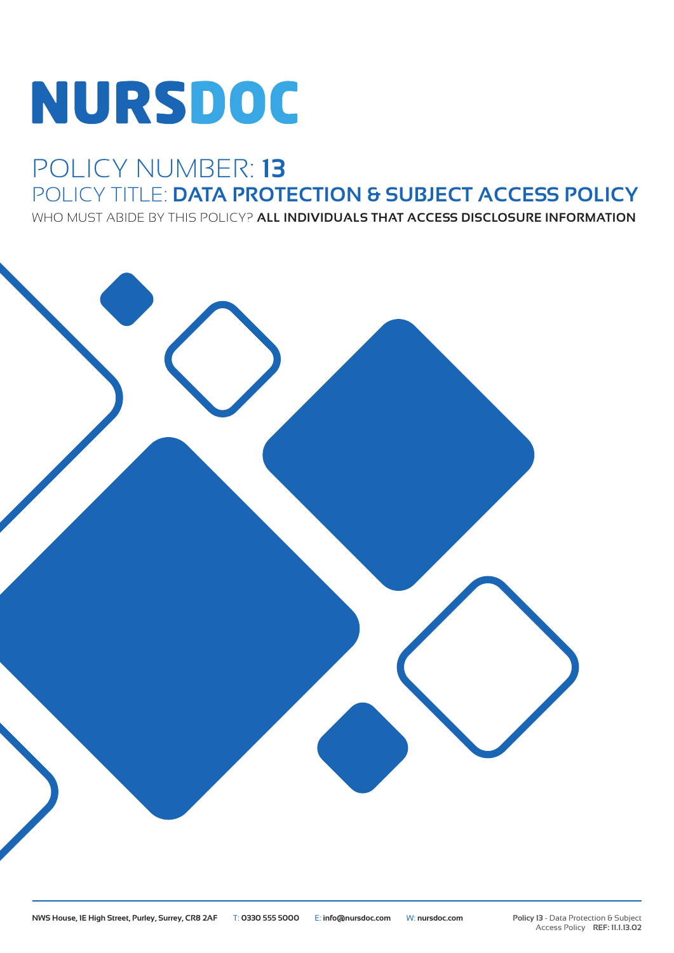# **NURSDOC**

## POLICY NUMBER: **13** POLICY TITLE: **DATA PROTECTION & SUBJECT ACCESS POLICY**

WHO MUST ABIDE BY THIS POLICY? **ALL INDIVIDUALS THAT ACCESS DISCLOSURE INFORMATION**

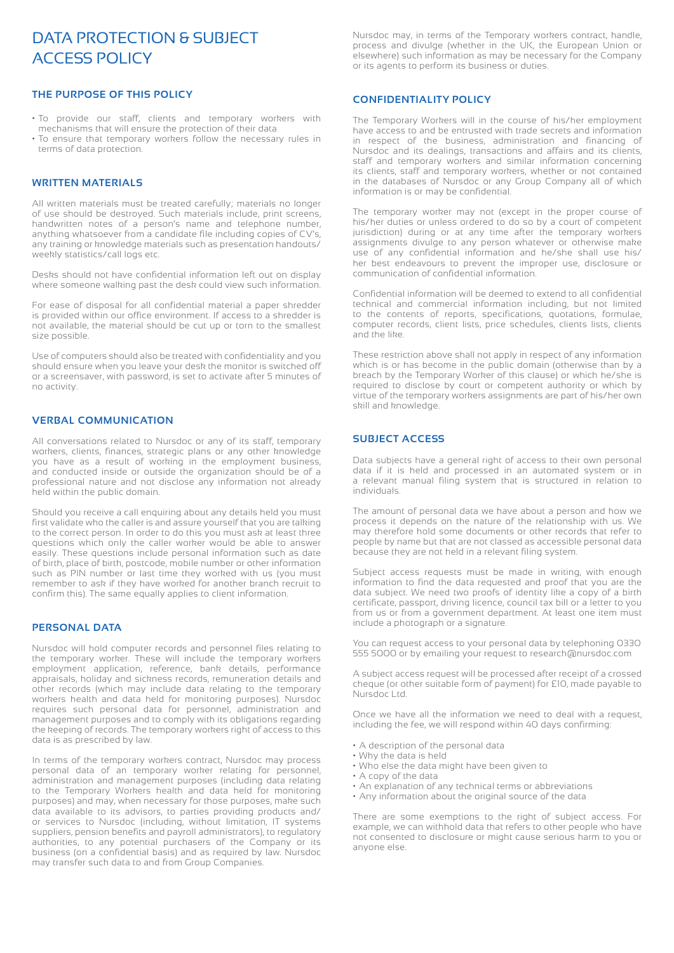### DATA PROTECTION & SUBJECT ACCESS POLICY

#### **THE PURPOSE OF THIS POLICY**

- To provide our staff, clients and temporary workers with mechanisms that will ensure the protection of their data
- To ensure that temporary workers follow the necessary rules in terms of data protection.

#### **WRITTEN MATERIALS**

All written materials must be treated carefully; materials no longer of use should be destroyed. Such materials include, print screens, handwritten notes of a person's name and telephone number, anything whatsoever from a candidate file including copies of CV's, any training or knowledge materials such as presentation handouts/ weekly statistics/call logs etc.

Desks should not have confidential information left out on display where someone walking past the desk could view such information.

For ease of disposal for all confidential material a paper shredder is provided within our office environment. If access to a shredder is not available, the material should be cut up or torn to the smallest size possible.

Use of computers should also be treated with confidentiality and you should ensure when you leave your desk the monitor is switched off or a screensaver, with password, is set to activate after 5 minutes of no activity.

#### **VERBAL COMMUNICATION**

All conversations related to Nursdoc or any of its staff, temporary workers, clients, finances, strategic plans or any other knowledge you have as a result of working in the employment business, and conducted inside or outside the organization should be of a professional nature and not disclose any information not already held within the public domain.

Should you receive a call enquiring about any details held you must first validate who the caller is and assure yourself that you are talking to the correct person. In order to do this you must ask at least three questions which only the caller worker would be able to answer easily. These questions include personal information such as date of birth, place of birth, postcode, mobile number or other information such as PIN number or last time they worked with us (you must remember to ask if they have worked for another branch recruit to confirm this). The same equally applies to client information.

#### **PERSONAL DATA**

Nursdoc will hold computer records and personnel files relating to the temporary worker. These will include the temporary workers employment application, reference, bank details, performance appraisals, holiday and sickness records, remuneration details and other records (which may include data relating to the temporary workers health and data held for monitoring purposes). Nursdoc requires such personal data for personnel, administration and management purposes and to comply with its obligations regarding the keeping of records. The temporary workers right of access to this data is as prescribed by law.

In terms of the temporary workers contract, Nursdoc may process personal data of an temporary worker relating for personnel, administration and management purposes (including data relating to the Temporary Workers health and data held for monitoring purposes) and may, when necessary for those purposes, make such data available to its advisors, to parties providing products and/ or services to Nursdoc (including, without limitation, IT systems suppliers, pension benefits and payroll administrators), to regulatory authorities, to any potential purchasers of the Company or its business (on a confidential basis) and as required by law. Nursdoc may transfer such data to and from Group Companies.

Nursdoc may, in terms of the Temporary workers contract, handle, process and divulge (whether in the UK, the European Union or elsewhere) such information as may be necessary for the Company or its agents to perform its business or duties.

#### **CONFIDENTIALITY POLICY**

The Temporary Workers will in the course of his/her employment have access to and be entrusted with trade secrets and information in respect of the business, administration and financing of Nursdoc and its dealings, transactions and affairs and its clients, staff and temporary workers and similar information concerning its clients, staff and temporary workers, whether or not contained in the databases of Nursdoc or any Group Company all of which information is or may be confidential.

The temporary worker may not (except in the proper course of his/her duties or unless ordered to do so by a court of competent jurisdiction) during or at any time after the temporary workers assignments divulge to any person whatever or otherwise make use of any confidential information and he/she shall use his/ her best endeavours to prevent the improper use, disclosure or communication of confidential information.

Confidential information will be deemed to extend to all confidential technical and commercial information including, but not limited to the contents of reports, specifications, quotations, formulae, computer records, client lists, price schedules, clients lists, clients and the like.

These restriction above shall not apply in respect of any information which is or has become in the public domain (otherwise than by a breach by the Temporary Worker of this clause) or which he/she is required to disclose by court or competent authority or which by virtue of the temporary workers assignments are part of his/her own skill and knowledge

#### **SUBJECT ACCESS**

Data subjects have a general right of access to their own personal data if it is held and processed in an automated system or in a relevant manual filing system that is structured in relation to individuals.

The amount of personal data we have about a person and how we process it depends on the nature of the relationship with us. We may therefore hold some documents or other records that refer to people by name but that are not classed as accessible personal data because they are not held in a relevant filing system.

Subject access requests must be made in writing, with enough information to find the data requested and proof that you are the data subject. We need two proofs of identity like a copy of a birth certificate, passport, driving licence, council tax bill or a letter to you from us or from a government department. At least one item must include a photograph or a signature.

You can request access to your personal data by telephoning 0330 555 5000 or by emailing your request to research@nursdoc.com

A subject access request will be processed after receipt of a crossed cheque (or other suitable form of payment) for £10, made payable to Nursdoc Ltd.

Once we have all the information we need to deal with a request, including the fee, we will respond within 40 days confirming:

- A description of the personal data
- Why the data is held
- Who else the data might have been given to
- A copy of the data
- An explanation of any technical terms or abbreviations
- Any information about the original source of the data

There are some exemptions to the right of subject access. For example, we can withhold data that refers to other people who have not consented to disclosure or might cause serious harm to you or anyone else.